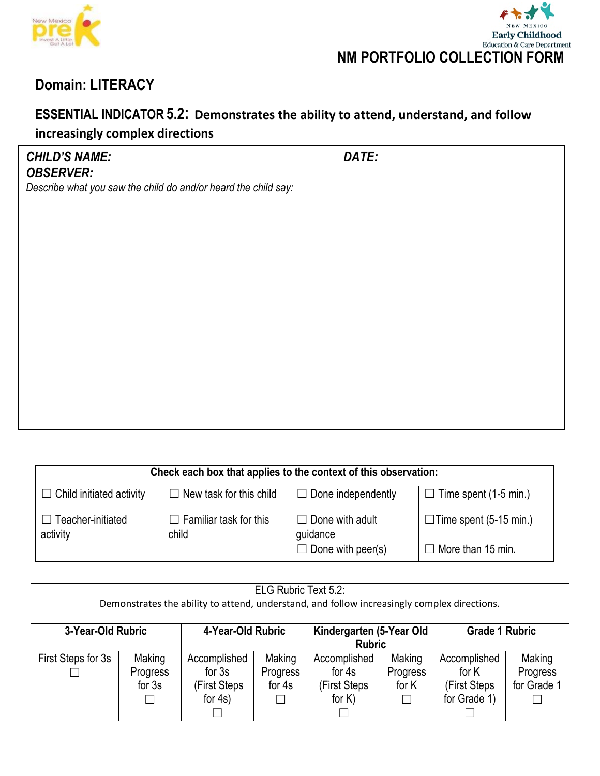



### **ESSENTIAL INDICATOR 5.2: Demonstrates the ability to attend, understand, and follow increasingly complex directions**

*CHILD'S NAME: DATE: OBSERVER:*

| Check each box that applies to the context of this observation: |                                        |                                    |                                 |  |  |  |  |
|-----------------------------------------------------------------|----------------------------------------|------------------------------------|---------------------------------|--|--|--|--|
| Child initiated activity<br>- 1                                 | New task for this child                | $\Box$ Done independently          | Time spent (1-5 min.)<br>$\Box$ |  |  |  |  |
| Teacher-initiated<br>activity                                   | $\Box$ Familiar task for this<br>child | $\Box$ Done with adult<br>quidance | $\Box$ Time spent (5-15 min.)   |  |  |  |  |
|                                                                 |                                        | $\Box$ Done with peer(s)           | $\Box$ More than 15 min.        |  |  |  |  |

| ELG Rubric Text 5.2:<br>Demonstrates the ability to attend, understand, and follow increasingly complex directions. |                                |                                                        |                              |                                                      |                                        |                                                        |                                   |  |  |
|---------------------------------------------------------------------------------------------------------------------|--------------------------------|--------------------------------------------------------|------------------------------|------------------------------------------------------|----------------------------------------|--------------------------------------------------------|-----------------------------------|--|--|
| 3-Year-Old Rubric                                                                                                   |                                | 4-Year-Old Rubric                                      |                              | Kindergarten (5-Year Old<br><b>Rubric</b>            |                                        | <b>Grade 1 Rubric</b>                                  |                                   |  |  |
| First Steps for 3s                                                                                                  | Making<br>Progress<br>for $3s$ | Accomplished<br>for $3s$<br>(First Steps<br>for $4s$ ) | Making<br>Progress<br>for 4s | Accomplished<br>for 4s<br>(First Steps)<br>for $K$ ) | Making<br>Progress<br>for K<br>$\perp$ | Accomplished<br>for K<br>(First Steps)<br>for Grade 1) | Making<br>Progress<br>for Grade 1 |  |  |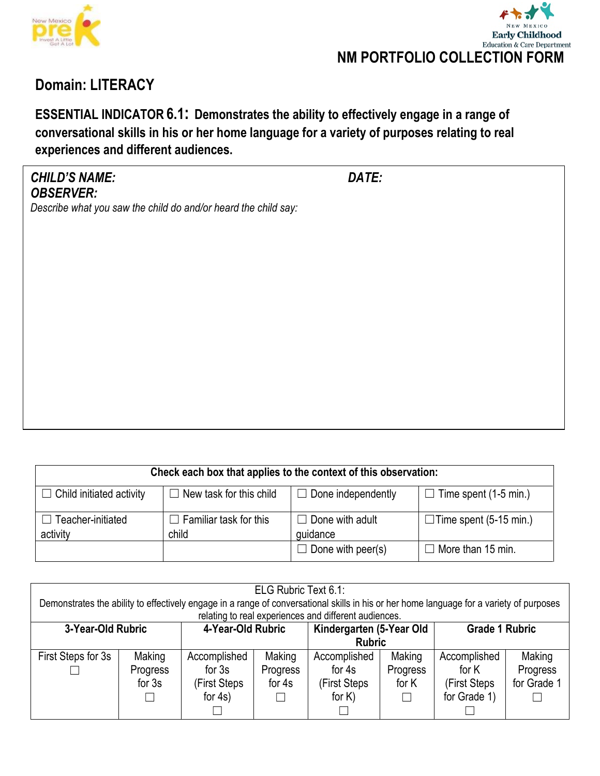



**ESSENTIAL INDICATOR 6.1: Demonstrates the ability to effectively engage in a range of conversational skills in his or her home language for a variety of purposes relating to real experiences and different audiences.**

### *CHILD'S NAME: DATE: OBSERVER:*

| Check each box that applies to the context of this observation: |                                        |                                    |                               |  |  |  |  |
|-----------------------------------------------------------------|----------------------------------------|------------------------------------|-------------------------------|--|--|--|--|
| $\Box$ Child initiated activity                                 | New task for this child<br>$\Box$      | $\Box$ Done independently          | $\Box$ Time spent (1-5 min.)  |  |  |  |  |
| $\Box$ Teacher-initiated<br>activity                            | $\Box$ Familiar task for this<br>child | $\Box$ Done with adult<br>guidance | $\Box$ Time spent (5-15 min.) |  |  |  |  |
|                                                                 |                                        | $\Box$ Done with peer(s)           | $\Box$ More than 15 min.      |  |  |  |  |

| ELG Rubric Text 6.1:<br>Demonstrates the ability to effectively engage in a range of conversational skills in his or her home language for a variety of purposes<br>relating to real experiences and different audiences. |                                |                                                        |                              |                                                      |                                       |                                                       |                                   |  |  |  |
|---------------------------------------------------------------------------------------------------------------------------------------------------------------------------------------------------------------------------|--------------------------------|--------------------------------------------------------|------------------------------|------------------------------------------------------|---------------------------------------|-------------------------------------------------------|-----------------------------------|--|--|--|
| 4-Year-Old Rubric<br>3-Year-Old Rubric                                                                                                                                                                                    |                                | Kindergarten (5-Year Old<br><b>Rubric</b>              |                              | <b>Grade 1 Rubric</b>                                |                                       |                                                       |                                   |  |  |  |
| First Steps for 3s                                                                                                                                                                                                        | Making<br>Progress<br>for $3s$ | Accomplished<br>for $3s$<br>(First Steps<br>for $4s$ ) | Making<br>Progress<br>for 4s | Accomplished<br>for 4s<br>(First Steps)<br>for $K$ ) | Making<br>Progress<br>for K<br>$\Box$ | Accomplished<br>for K<br>(First Steps<br>for Grade 1) | Making<br>Progress<br>for Grade 1 |  |  |  |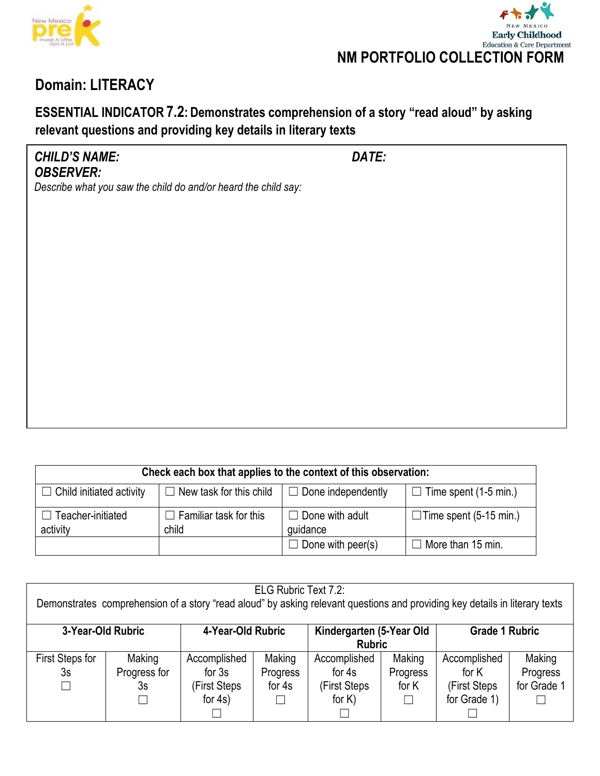



## **ESSENTIAL INDICATOR 7.2: Demonstrates comprehension of a story "read aloud" by asking relevant questions and providing key details in literary texts**

### *CHILD'S NAME: DATE: OBSERVER:*

| Check each box that applies to the context of this observation: |                                |                           |                               |  |  |  |  |
|-----------------------------------------------------------------|--------------------------------|---------------------------|-------------------------------|--|--|--|--|
| $\Box$ Child initiated activity                                 | $\Box$ New task for this child | $\Box$ Done independently | Time spent (1-5 min.)         |  |  |  |  |
| Teacher-initiated                                               | $\Box$ Familiar task for this  | $\Box$ Done with adult    | $\Box$ Time spent (5-15 min.) |  |  |  |  |
| activity                                                        | child                          | quidance                  |                               |  |  |  |  |
|                                                                 |                                | $\Box$ Done with peer(s)  | $\Box$ More than 15 min.      |  |  |  |  |

| ELG Rubric Text 7.2:<br>Demonstrates comprehension of a story "read aloud" by asking relevant questions and providing key details in literary texts |              |                   |          |                                           |          |                       |             |  |  |
|-----------------------------------------------------------------------------------------------------------------------------------------------------|--------------|-------------------|----------|-------------------------------------------|----------|-----------------------|-------------|--|--|
| 3-Year-Old Rubric                                                                                                                                   |              | 4-Year-Old Rubric |          | Kindergarten (5-Year Old<br><b>Rubric</b> |          | <b>Grade 1 Rubric</b> |             |  |  |
| First Steps for                                                                                                                                     | Making       | Accomplished      | Making   | Accomplished                              | Making   | Accomplished          | Making      |  |  |
| 3s                                                                                                                                                  | Progress for | for $3s$          | Progress | for 4s                                    | Progress | for K                 | Progress    |  |  |
|                                                                                                                                                     | 3s           | (First Steps      | for 4s   | (First Steps                              | for K    | (First Steps)         | for Grade 1 |  |  |
|                                                                                                                                                     |              | for $4s$ )        |          | for $K$ )                                 | $\Box$   | for Grade 1)          |             |  |  |
|                                                                                                                                                     |              |                   |          |                                           |          |                       |             |  |  |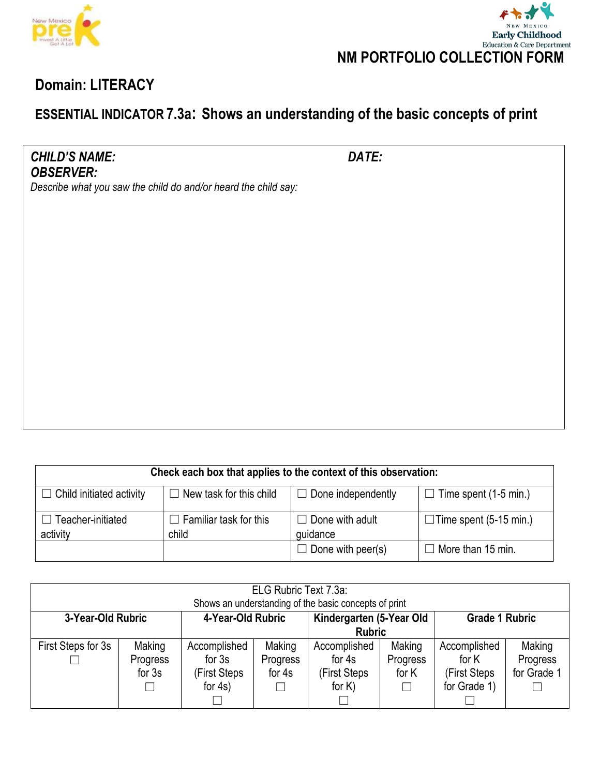



# **ESSENTIAL INDICATOR 7.3a: Shows an understanding of the basic concepts of print**

*CHILD'S NAME: DATE: OBSERVER:*

| Check each box that applies to the context of this observation: |                                        |                                    |                               |  |  |  |  |
|-----------------------------------------------------------------|----------------------------------------|------------------------------------|-------------------------------|--|--|--|--|
| $\Box$ Child initiated activity                                 | $\Box$ New task for this child         | $\Box$ Done independently          | $\Box$ Time spent (1-5 min.)  |  |  |  |  |
| $\Box$ Teacher-initiated<br>activity                            | $\Box$ Familiar task for this<br>child | $\Box$ Done with adult<br>guidance | $\Box$ Time spent (5-15 min.) |  |  |  |  |
|                                                                 |                                        | $\Box$ Done with peer(s)           | $\Box$ More than 15 min.      |  |  |  |  |

| ELG Rubric Text 7.3a:<br>Shows an understanding of the basic concepts of print |          |              |          |               |                       |              |             |  |  |
|--------------------------------------------------------------------------------|----------|--------------|----------|---------------|-----------------------|--------------|-------------|--|--|
| 4-Year-Old Rubric<br>Kindergarten (5-Year Old<br>3-Year-Old Rubric             |          |              |          |               | <b>Grade 1 Rubric</b> |              |             |  |  |
|                                                                                |          |              |          | <b>Rubric</b> |                       |              |             |  |  |
| First Steps for 3s                                                             | Making   | Accomplished | Making   | Accomplished  | Making                | Accomplished | Making      |  |  |
|                                                                                | Progress | for $3s$     | Progress | for $4s$      | Progress              | for K        | Progress    |  |  |
|                                                                                | for $3s$ | (First Steps | for 4s   | (First Steps  | for K                 | (First Steps | for Grade 1 |  |  |
|                                                                                |          | for $4s$ )   |          | for $K$ )     | $\Box$                | for Grade 1) |             |  |  |
|                                                                                |          |              |          |               |                       |              |             |  |  |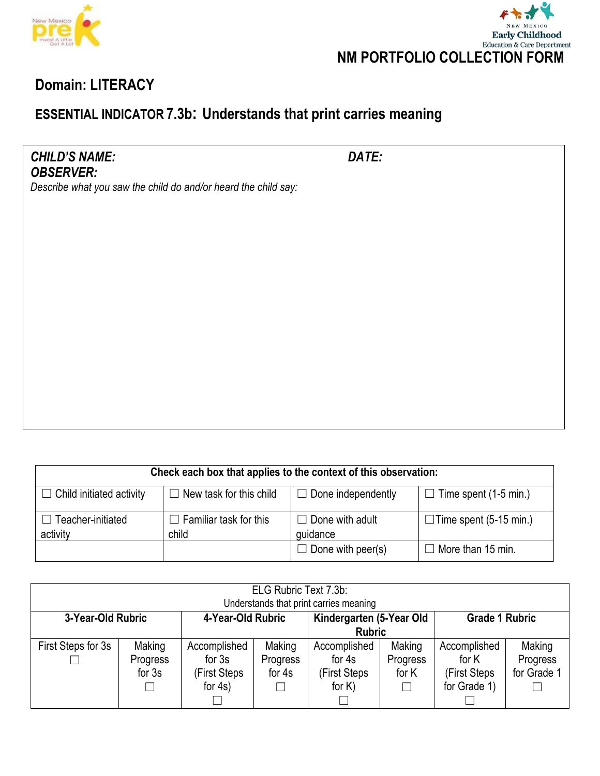



# **ESSENTIAL INDICATOR 7.3b: Understands that print carries meaning**

*CHILD'S NAME: DATE: OBSERVER:*

| Check each box that applies to the context of this observation: |                                        |                                    |                               |  |  |  |  |
|-----------------------------------------------------------------|----------------------------------------|------------------------------------|-------------------------------|--|--|--|--|
| $\Box$ Child initiated activity                                 | $\Box$ New task for this child         | $\Box$ Done independently          | $\Box$ Time spent (1-5 min.)  |  |  |  |  |
| $\Box$ Teacher-initiated<br>activity                            | $\Box$ Familiar task for this<br>child | $\Box$ Done with adult<br>guidance | $\Box$ Time spent (5-15 min.) |  |  |  |  |
|                                                                 |                                        | $\Box$ Done with peer(s)           | $\Box$ More than 15 min.      |  |  |  |  |

| ELG Rubric Text 7.3b:<br>Understands that print carries meaning |                                |                                                        |                              |                                                     |                                       |                                                        |                                   |  |  |
|-----------------------------------------------------------------|--------------------------------|--------------------------------------------------------|------------------------------|-----------------------------------------------------|---------------------------------------|--------------------------------------------------------|-----------------------------------|--|--|
| 3-Year-Old Rubric                                               |                                | 4-Year-Old Rubric                                      |                              | Kindergarten (5-Year Old<br><b>Rubric</b>           |                                       | <b>Grade 1 Rubric</b>                                  |                                   |  |  |
| First Steps for 3s                                              | Making<br>Progress<br>for $3s$ | Accomplished<br>for $3s$<br>(First Steps<br>for $4s$ ) | Making<br>Progress<br>for 4s | Accomplished<br>for 4s<br>(First Steps<br>for $K$ ) | Making<br>Progress<br>for K<br>$\Box$ | Accomplished<br>for K<br>(First Steps)<br>for Grade 1) | Making<br>Progress<br>for Grade 1 |  |  |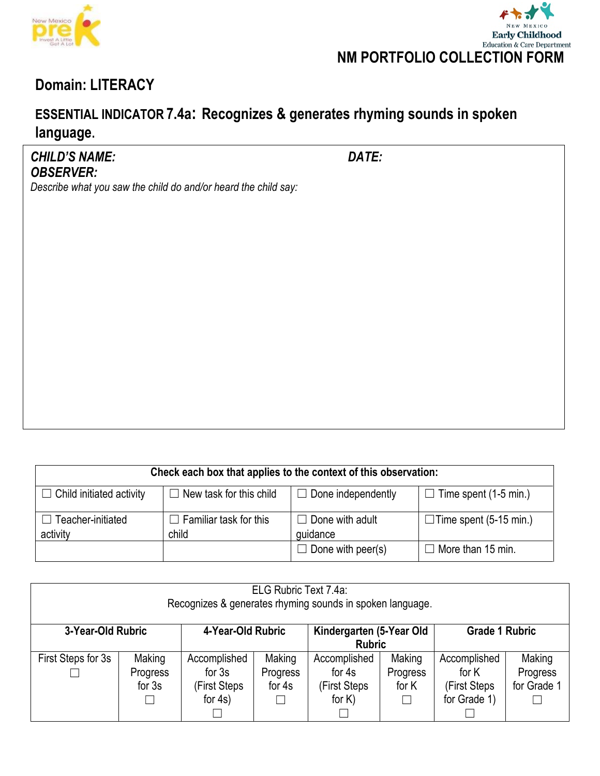



# **ESSENTIAL INDICATOR 7.4a: Recognizes & generates rhyming sounds in spoken language.**

### *CHILD'S NAME: DATE: OBSERVER:*

| Check each box that applies to the context of this observation: |                                |                                      |                               |  |  |  |  |
|-----------------------------------------------------------------|--------------------------------|--------------------------------------|-------------------------------|--|--|--|--|
| $\Box$ Child initiated activity                                 | $\Box$ New task for this child | $\Box$ Done independently            | $\Box$ Time spent (1-5 min.)  |  |  |  |  |
| $\Box$ Teacher-initiated                                        | $\Box$ Familiar task for this  | $\Box$ Done with adult               | $\Box$ Time spent (5-15 min.) |  |  |  |  |
| activity                                                        | child                          | quidance<br>$\Box$ Done with peer(s) | $\Box$ More than 15 min.      |  |  |  |  |

| ELG Rubric Text 7.4a:<br>Recognizes & generates rhyming sounds in spoken language. |          |                                              |          |                                           |          |                       |             |  |  |
|------------------------------------------------------------------------------------|----------|----------------------------------------------|----------|-------------------------------------------|----------|-----------------------|-------------|--|--|
| 3-Year-Old Rubric                                                                  |          | 4-Year-Old Rubric                            |          | Kindergarten (5-Year Old<br><b>Rubric</b> |          | <b>Grade 1 Rubric</b> |             |  |  |
| First Steps for 3s                                                                 | Making   | Accomplished                                 | Making   | Accomplished                              | Making   | Accomplished          | Making      |  |  |
|                                                                                    | Progress | for $3s$                                     | Progress | for 4s                                    | Progress | for K                 | Progress    |  |  |
|                                                                                    | for $3s$ | (First Steps)                                | for 4s   | (First Steps                              | for K    | (First Steps          | for Grade 1 |  |  |
|                                                                                    |          | for $4s$ )<br>for $K$ )<br>for Grade 1)<br>П |          |                                           |          |                       |             |  |  |
|                                                                                    |          |                                              |          |                                           |          |                       |             |  |  |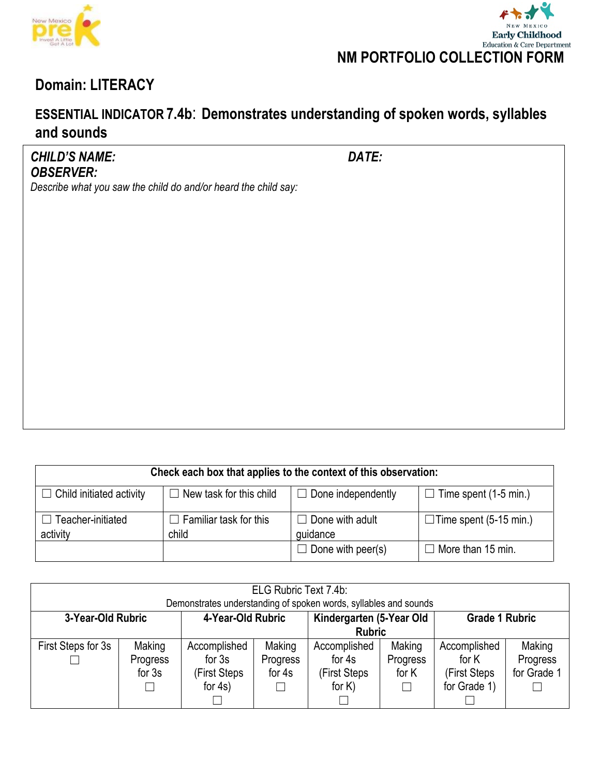



## **ESSENTIAL INDICATOR 7.4b**: **Demonstrates understanding of spoken words, syllables and sounds**

#### *CHILD'S NAME: DATE: OBSERVER:*

| Check each box that applies to the context of this observation:                                                                |                                        |                                    |                               |  |  |  |  |  |
|--------------------------------------------------------------------------------------------------------------------------------|----------------------------------------|------------------------------------|-------------------------------|--|--|--|--|--|
| $\Box$ New task for this child<br>$\Box$ Done independently<br>$\Box$ Time spent (1-5 min.)<br>$\Box$ Child initiated activity |                                        |                                    |                               |  |  |  |  |  |
| $\Box$ Teacher-initiated<br>activity                                                                                           | $\Box$ Familiar task for this<br>child | $\Box$ Done with adult<br>quidance | $\Box$ Time spent (5-15 min.) |  |  |  |  |  |
|                                                                                                                                |                                        | $\Box$ Done with peer(s)           | $\Box$ More than 15 min.      |  |  |  |  |  |

| ELG Rubric Text 7.4b:<br>Demonstrates understanding of spoken words, syllables and sounds |                                |                                                        |                                                                |                                                     |                                       |                                                        |                                   |  |
|-------------------------------------------------------------------------------------------|--------------------------------|--------------------------------------------------------|----------------------------------------------------------------|-----------------------------------------------------|---------------------------------------|--------------------------------------------------------|-----------------------------------|--|
| 3-Year-Old Rubric                                                                         |                                |                                                        | Kindergarten (5-Year Old<br>4-Year-Old Rubric<br><b>Rubric</b> |                                                     | <b>Grade 1 Rubric</b>                 |                                                        |                                   |  |
| First Steps for 3s                                                                        | Making<br>Progress<br>for $3s$ | Accomplished<br>for $3s$<br>(First Steps<br>for $4s$ ) | Making<br>Progress<br>for 4s                                   | Accomplished<br>for 4s<br>(First Steps<br>for $K$ ) | Making<br>Progress<br>for K<br>$\Box$ | Accomplished<br>for K<br>(First Steps)<br>for Grade 1) | Making<br>Progress<br>for Grade 1 |  |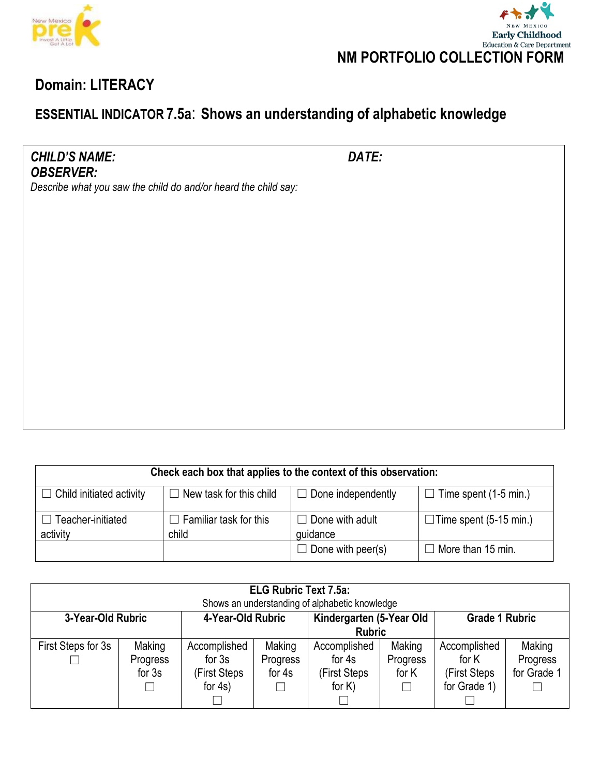



# **ESSENTIAL INDICATOR 7.5a**: **Shows an understanding of alphabetic knowledge**

*CHILD'S NAME: DATE: OBSERVER:*

| Check each box that applies to the context of this observation:                                                                |                               |                          |                               |  |  |  |  |  |
|--------------------------------------------------------------------------------------------------------------------------------|-------------------------------|--------------------------|-------------------------------|--|--|--|--|--|
| $\Box$ New task for this child<br>$\Box$ Done independently<br>$\Box$ Time spent (1-5 min.)<br>$\Box$ Child initiated activity |                               |                          |                               |  |  |  |  |  |
| $\Box$ Teacher-initiated                                                                                                       | $\Box$ Familiar task for this | $\Box$ Done with adult   | $\Box$ Time spent (5-15 min.) |  |  |  |  |  |
| activity                                                                                                                       | child                         | guidance                 |                               |  |  |  |  |  |
|                                                                                                                                |                               | $\Box$ Done with peer(s) | $\Box$ More than 15 min.      |  |  |  |  |  |

| <b>ELG Rubric Text 7.5a:</b><br>Shows an understanding of alphabetic knowledge |                                       |                                                        |                              |                                                     |                                       |                                                       |                                   |  |
|--------------------------------------------------------------------------------|---------------------------------------|--------------------------------------------------------|------------------------------|-----------------------------------------------------|---------------------------------------|-------------------------------------------------------|-----------------------------------|--|
| 4-Year-Old Rubric<br>3-Year-Old Rubric                                         |                                       |                                                        |                              | Kindergarten (5-Year Old<br><b>Rubric</b>           | <b>Grade 1 Rubric</b>                 |                                                       |                                   |  |
| First Steps for 3s                                                             | Making<br><b>Progress</b><br>for $3s$ | Accomplished<br>for $3s$<br>(First Steps<br>for $4s$ ) | Making<br>Progress<br>for 4s | Accomplished<br>for 4s<br>(First Steps<br>for $K$ ) | Making<br>Progress<br>for K<br>$\Box$ | Accomplished<br>for K<br>(First Steps<br>for Grade 1) | Making<br>Progress<br>for Grade 1 |  |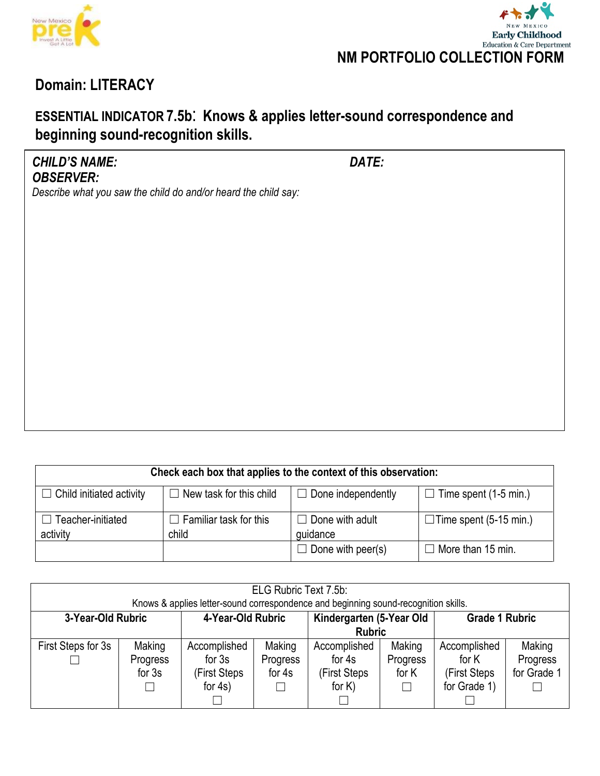



# **ESSENTIAL INDICATOR 7.5b**: **Knows & applies letter-sound correspondence and beginning sound-recognition skills.**

### *CHILD'S NAME: DATE: OBSERVER:*

| Check each box that applies to the context of this observation:                                                                |                                        |                                    |                               |  |  |  |  |  |
|--------------------------------------------------------------------------------------------------------------------------------|----------------------------------------|------------------------------------|-------------------------------|--|--|--|--|--|
| $\Box$ Done independently<br>$\Box$ Time spent (1-5 min.)<br>$\Box$ New task for this child<br>$\Box$ Child initiated activity |                                        |                                    |                               |  |  |  |  |  |
| $\Box$ Teacher-initiated<br>activity                                                                                           | $\Box$ Familiar task for this<br>child | $\Box$ Done with adult<br>quidance | $\Box$ Time spent (5-15 min.) |  |  |  |  |  |
|                                                                                                                                |                                        | $\Box$ Done with peer(s)           | $\Box$ More than 15 min.      |  |  |  |  |  |

| ELG Rubric Text 7.5b:<br>Knows & applies letter-sound correspondence and beginning sound-recognition skills. |                                |                                                        |                              |                                                     |                                       |                                                       |                                   |  |
|--------------------------------------------------------------------------------------------------------------|--------------------------------|--------------------------------------------------------|------------------------------|-----------------------------------------------------|---------------------------------------|-------------------------------------------------------|-----------------------------------|--|
| Kindergarten (5-Year Old<br>4-Year-Old Rubric<br>3-Year-Old Rubric<br><b>Grade 1 Rubric</b><br><b>Rubric</b> |                                |                                                        |                              |                                                     |                                       |                                                       |                                   |  |
| First Steps for 3s                                                                                           | Making<br>Progress<br>for $3s$ | Accomplished<br>for $3s$<br>(First Steps<br>for $4s$ ) | Making<br>Progress<br>for 4s | Accomplished<br>for 4s<br>(First Steps<br>for $K$ ) | Making<br>Progress<br>for K<br>$\Box$ | Accomplished<br>for K<br>(First Steps<br>for Grade 1) | Making<br>Progress<br>for Grade 1 |  |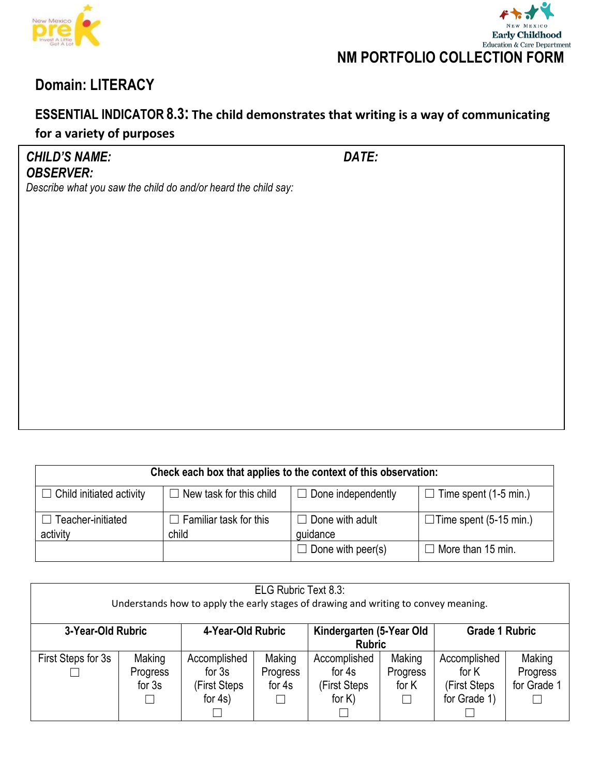



### **ESSENTIAL INDICATOR 8.3: The child demonstrates that writing is a way of communicating for a variety of purposes**

*CHILD'S NAME: DATE: OBSERVER:*

| Check each box that applies to the context of this observation:                                                         |                                        |                                    |                               |  |  |  |  |  |
|-------------------------------------------------------------------------------------------------------------------------|----------------------------------------|------------------------------------|-------------------------------|--|--|--|--|--|
| $\Box$ New task for this child<br>$\Box$ Done independently<br>$\Box$ Child initiated activity<br>Time spent (1-5 min.) |                                        |                                    |                               |  |  |  |  |  |
| Teacher-initiated<br>activity                                                                                           | $\Box$ Familiar task for this<br>child | $\Box$ Done with adult<br>quidance | $\Box$ Time spent (5-15 min.) |  |  |  |  |  |
|                                                                                                                         |                                        | $\Box$ Done with peer(s)           | $\Box$ More than 15 min.      |  |  |  |  |  |

| ELG Rubric Text 8.3:<br>Understands how to apply the early stages of drawing and writing to convey meaning. |                                |                                                        |                              |                                                     |                                  |                                                       |                                   |  |
|-------------------------------------------------------------------------------------------------------------|--------------------------------|--------------------------------------------------------|------------------------------|-----------------------------------------------------|----------------------------------|-------------------------------------------------------|-----------------------------------|--|
| 3-Year-Old Rubric                                                                                           |                                | 4-Year-Old Rubric                                      |                              | Kindergarten (5-Year Old<br><b>Rubric</b>           |                                  | <b>Grade 1 Rubric</b>                                 |                                   |  |
| First Steps for 3s                                                                                          | Making<br>Progress<br>for $3s$ | Accomplished<br>for $3s$<br>(First Steps<br>for $4s$ ) | Making<br>Progress<br>for 4s | Accomplished<br>for 4s<br>(First Steps<br>for $K$ ) | Making<br>Progress<br>for K<br>⊔ | Accomplished<br>for K<br>(First Steps<br>for Grade 1) | Making<br>Progress<br>for Grade 1 |  |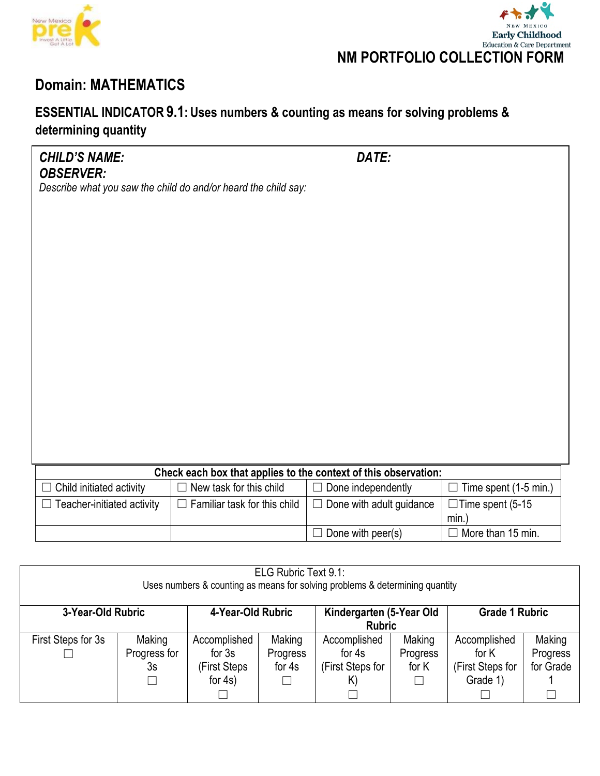



# **Domain: MATHEMATICS**

## **ESSENTIAL INDICATOR 9.1: Uses numbers & counting as means for solving problems & determining quantity**

| <b>CHILD'S NAME:</b>                                           | DATE: |  |
|----------------------------------------------------------------|-------|--|
| <b>OBSERVER:</b>                                               |       |  |
| Describe what you saw the child do and/or heard the child say: |       |  |
|                                                                |       |  |

| Check each box that applies to the context of this observation:   |                         |                                 |                              |  |  |  |  |
|-------------------------------------------------------------------|-------------------------|---------------------------------|------------------------------|--|--|--|--|
| $\Box$ Child initiated activity                                   | New task for this child | $\Box$ Done independently       | $\Box$ Time spent (1-5 min.) |  |  |  |  |
| Teacher-initiated activity<br>$\Box$ Familiar task for this child |                         | $\Box$ Done with adult guidance | $\Box$ Time spent (5-15      |  |  |  |  |
|                                                                   |                         |                                 | min.                         |  |  |  |  |
|                                                                   |                         | $\Box$ Done with peer(s)        | More than 15 min.<br>$\Box$  |  |  |  |  |

| ELG Rubric Text 9.1:<br>Uses numbers & counting as means for solving problems & determining quantity         |              |               |          |                  |          |                  |           |
|--------------------------------------------------------------------------------------------------------------|--------------|---------------|----------|------------------|----------|------------------|-----------|
| 4-Year-Old Rubric<br>Kindergarten (5-Year Old<br><b>Grade 1 Rubric</b><br>3-Year-Old Rubric<br><b>Rubric</b> |              |               |          |                  |          |                  |           |
| First Steps for 3s                                                                                           | Making       | Accomplished  | Making   | Accomplished     | Making   | Accomplished     | Making    |
|                                                                                                              | Progress for | for $3s$      | Progress | for 4s           | Progress | for K            | Progress  |
|                                                                                                              | 3s           | (First Steps) | for 4s   | (First Steps for | for K    | (First Steps for | for Grade |
|                                                                                                              |              | for $4s$ )    |          | K)               |          | Grade 1)         |           |
|                                                                                                              |              |               |          |                  |          |                  |           |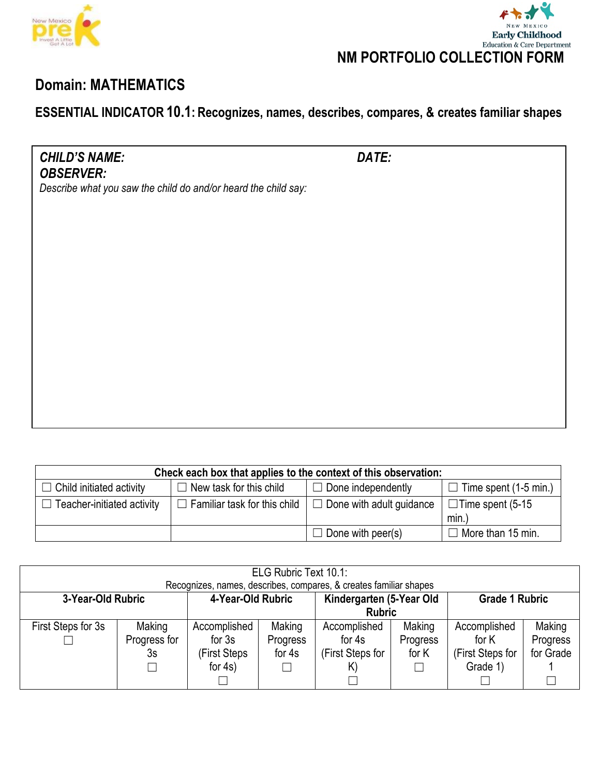



# **Domain: MATHEMATICS**

### **ESSENTIAL INDICATOR 10.1: Recognizes, names, describes, compares, & creates familiar shapes**

*CHILD'S NAME: DATE: OBSERVER:*

| Check each box that applies to the context of this observation: |                                     |                                 |                                 |  |  |  |  |
|-----------------------------------------------------------------|-------------------------------------|---------------------------------|---------------------------------|--|--|--|--|
| $\Box$ Child initiated activity                                 | $\Box$ New task for this child      | $\Box$ Done independently       | $\Box$ Time spent (1-5 min.)    |  |  |  |  |
| $\Box$ Teacher-initiated activity                               | $\Box$ Familiar task for this child | $\Box$ Done with adult guidance | $\Box$ Time spent (5-15<br>min. |  |  |  |  |
|                                                                 |                                     | $\Box$ Done with peer(s)        | $\Box$ More than 15 min.        |  |  |  |  |

| ELG Rubric Text 10.1: |               |                   |          |                                                                   |          |                       |           |
|-----------------------|---------------|-------------------|----------|-------------------------------------------------------------------|----------|-----------------------|-----------|
|                       |               |                   |          | Recognizes, names, describes, compares, & creates familiar shapes |          |                       |           |
| 3-Year-Old Rubric     |               | 4-Year-Old Rubric |          | Kindergarten (5-Year Old                                          |          | <b>Grade 1 Rubric</b> |           |
|                       | <b>Rubric</b> |                   |          |                                                                   |          |                       |           |
| First Steps for 3s    | Making        | Accomplished      | Making   | Accomplished                                                      | Making   | Accomplished          | Making    |
|                       | Progress for  | for $3s$          | Progress | for 4s                                                            | Progress | for K                 | Progress  |
|                       | 3s            | (First Steps      | for $4s$ | (First Steps for                                                  | for K    | (First Steps for      | for Grade |
|                       |               | for $4s$ )        |          | K)                                                                |          | Grade 1)              |           |
|                       |               |                   |          |                                                                   |          |                       |           |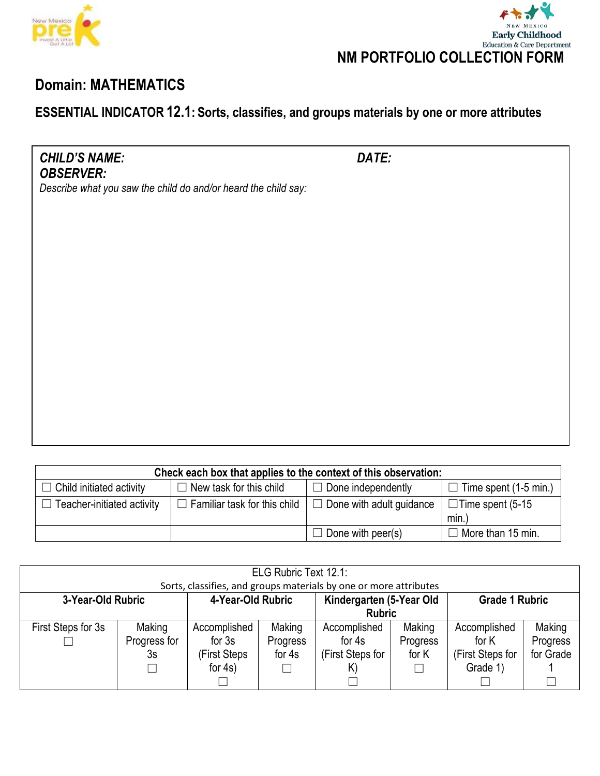



# **Domain: MATHEMATICS**

## **ESSENTIAL INDICATOR 12.1: Sorts, classifies, and groups materials by one or more attributes**

*CHILD'S NAME: DATE: OBSERVER:*

| Check each box that applies to the context of this observation:                                                         |                                     |                                 |                          |  |  |  |
|-------------------------------------------------------------------------------------------------------------------------|-------------------------------------|---------------------------------|--------------------------|--|--|--|
| Time spent (1-5 min.)<br>$\Box$ New task for this child<br>$\Box$ Done independently<br>$\Box$ Child initiated activity |                                     |                                 |                          |  |  |  |
| $\Box$ Teacher-initiated activity                                                                                       | $\Box$ Familiar task for this child | $\Box$ Done with adult guidance | $\Box$ Time spent (5-15  |  |  |  |
|                                                                                                                         |                                     |                                 | min.                     |  |  |  |
|                                                                                                                         |                                     | $\Box$ Done with peer(s)        | $\Box$ More than 15 min. |  |  |  |

| ELG Rubric Text 12.1: |               |                   |          |                                                                   |          |                       |           |
|-----------------------|---------------|-------------------|----------|-------------------------------------------------------------------|----------|-----------------------|-----------|
|                       |               |                   |          | Sorts, classifies, and groups materials by one or more attributes |          |                       |           |
| 3-Year-Old Rubric     |               | 4-Year-Old Rubric |          | Kindergarten (5-Year Old                                          |          | <b>Grade 1 Rubric</b> |           |
|                       | <b>Rubric</b> |                   |          |                                                                   |          |                       |           |
| First Steps for 3s    | Making        | Accomplished      | Making   | Accomplished                                                      | Making   | Accomplished          | Making    |
|                       | Progress for  | for $3s$          | Progress | for 4s                                                            | Progress | for K                 | Progress  |
|                       | 3s            | (First Steps      | for 4s   | (First Steps for                                                  | for K    | (First Steps for      | for Grade |
|                       |               | for $4s$ )        |          | K)                                                                |          | Grade 1)              |           |
|                       |               |                   |          |                                                                   |          |                       |           |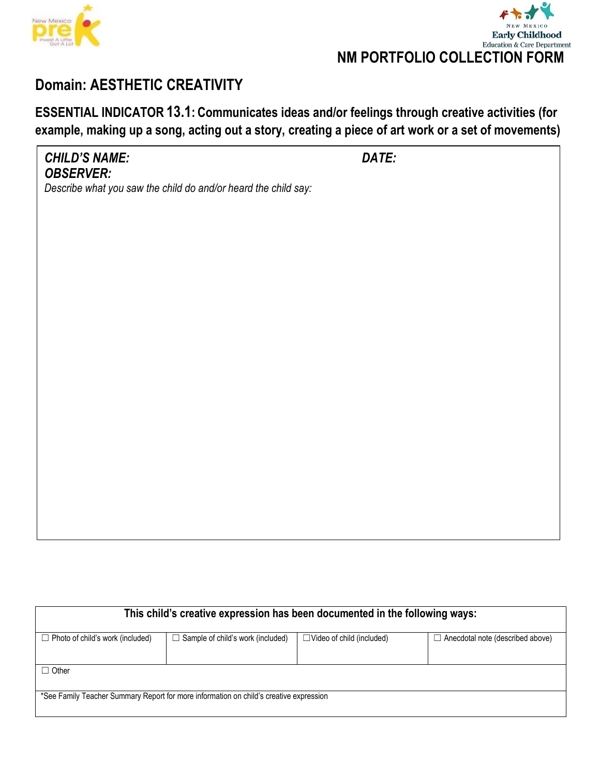



## **Domain: AESTHETIC CREATIVITY**

**ESSENTIAL INDICATOR 13.1: Communicates ideas and/or feelings through creative activities (for example, making up a song, acting out a story, creating a piece of art work or a set of movements)**

| <b>CHILD'S NAME:</b><br><b>OBSERVER:</b>                       | DATE: |
|----------------------------------------------------------------|-------|
| Describe what you saw the child do and/or heard the child say: |       |
|                                                                |       |
|                                                                |       |
|                                                                |       |
|                                                                |       |
|                                                                |       |
|                                                                |       |
|                                                                |       |
|                                                                |       |

| This child's creative expression has been documented in the following ways:            |                                          |                                  |                                         |  |  |  |
|----------------------------------------------------------------------------------------|------------------------------------------|----------------------------------|-----------------------------------------|--|--|--|
| $\Box$ Photo of child's work (included)                                                | $\Box$ Sample of child's work (included) | $\Box$ Video of child (included) | $\Box$ Anecdotal note (described above) |  |  |  |
|                                                                                        |                                          |                                  |                                         |  |  |  |
| $\Box$ Other                                                                           |                                          |                                  |                                         |  |  |  |
|                                                                                        |                                          |                                  |                                         |  |  |  |
| *See Family Teacher Summary Report for more information on child's creative expression |                                          |                                  |                                         |  |  |  |
|                                                                                        |                                          |                                  |                                         |  |  |  |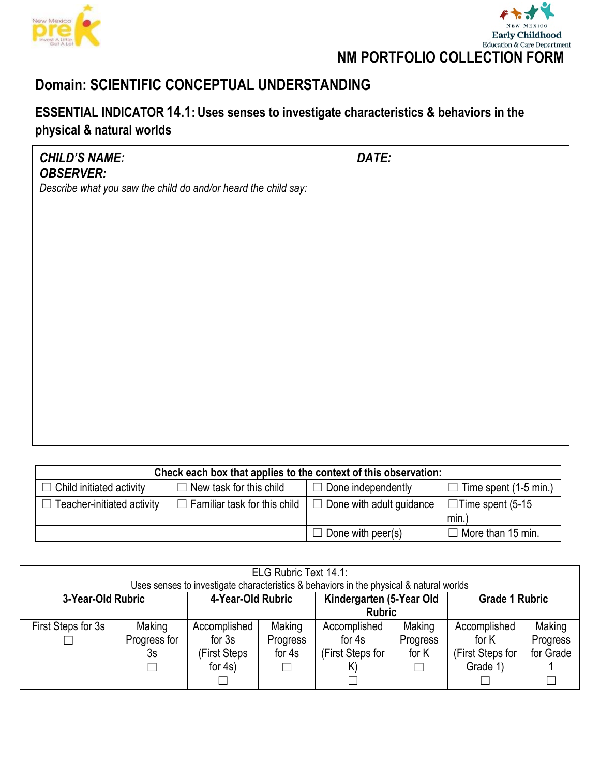



## **Domain: SCIENTIFIC CONCEPTUAL UNDERSTANDING**

### **ESSENTIAL INDICATOR 14.1: Uses senses to investigate characteristics & behaviors in the physical & natural worlds**

*CHILD'S NAME: DATE: OBSERVER:*

| Check each box that applies to the context of this observation:                                                                   |                                     |                                 |                         |  |  |  |
|-----------------------------------------------------------------------------------------------------------------------------------|-------------------------------------|---------------------------------|-------------------------|--|--|--|
| $\Box$ Done independently<br>Time spent (1-5 min.)<br>$\Box$ Child initiated activity<br>$\Box$ New task for this child<br>$\Box$ |                                     |                                 |                         |  |  |  |
| $\Box$ Teacher-initiated activity                                                                                                 | $\Box$ Familiar task for this child | $\Box$ Done with adult guidance | $\Box$ Time spent (5-15 |  |  |  |
|                                                                                                                                   |                                     |                                 | min.                    |  |  |  |
|                                                                                                                                   |                                     | $\Box$ Done with peer(s)        | More than 15 min.       |  |  |  |

| ELG Rubric Text 14.1: |              |                   |          |                                                                                         |          |                       |           |
|-----------------------|--------------|-------------------|----------|-----------------------------------------------------------------------------------------|----------|-----------------------|-----------|
|                       |              |                   |          | Uses senses to investigate characteristics & behaviors in the physical & natural worlds |          |                       |           |
| 3-Year-Old Rubric     |              | 4-Year-Old Rubric |          | Kindergarten (5-Year Old                                                                |          | <b>Grade 1 Rubric</b> |           |
|                       |              |                   |          | <b>Rubric</b>                                                                           |          |                       |           |
| First Steps for 3s    | Making       | Accomplished      | Making   | Accomplished                                                                            | Making   | Accomplished          | Making    |
|                       | Progress for | for $3s$          | Progress | for 4s                                                                                  | Progress | for K                 | Progress  |
|                       | 3s           | (First Steps      | for 4s   | (First Steps for                                                                        | for K    | (First Steps for      | for Grade |
|                       |              | for $4s$ )        |          | K)                                                                                      |          | Grade 1)              |           |
|                       |              |                   |          |                                                                                         |          |                       |           |